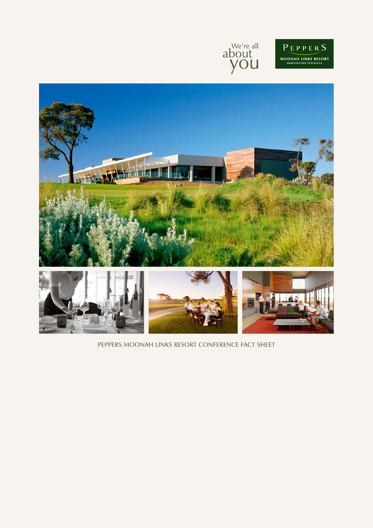





PEPPERS MOONAH LINKS RESORT CONFERENCE FACT SHEET